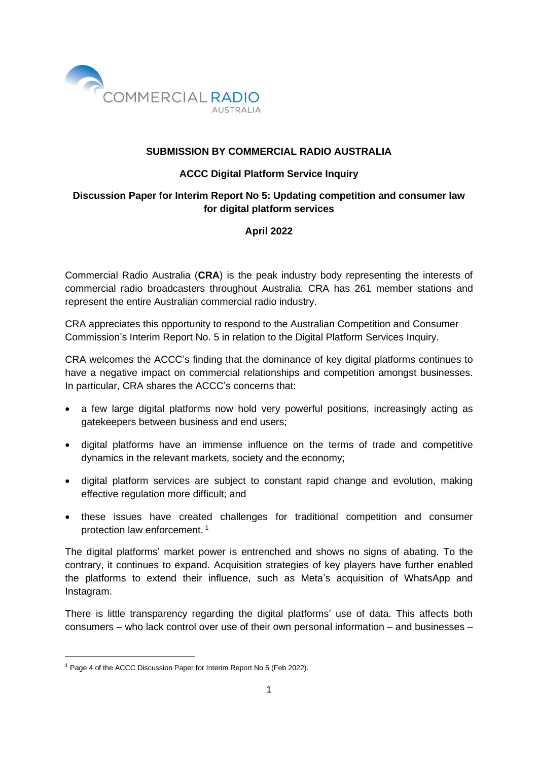

## **SUBMISSION BY COMMERCIAL RADIO AUSTRALIA**

## **ACCC Digital Platform Service Inquiry**

# **Discussion Paper for Interim Report No 5: Updating competition and consumer law for digital platform services**

# **April 2022**

Commercial Radio Australia (**CRA**) is the peak industry body representing the interests of commercial radio broadcasters throughout Australia. CRA has 261 member stations and represent the entire Australian commercial radio industry.

CRA appreciates this opportunity to respond to the Australian Competition and Consumer Commission's Interim Report No. 5 in relation to the Digital Platform Services Inquiry.

CRA welcomes the ACCC's finding that the dominance of key digital platforms continues to have a negative impact on commercial relationships and competition amongst businesses. In particular, CRA shares the ACCC's concerns that:

- a few large digital platforms now hold very powerful positions, increasingly acting as gatekeepers between business and end users;
- digital platforms have an immense influence on the terms of trade and competitive dynamics in the relevant markets, society and the economy;
- digital platform services are subject to constant rapid change and evolution, making effective regulation more difficult; and
- these issues have created challenges for traditional competition and consumer protection law enforcement. 1

The digital platforms' market power is entrenched and shows no signs of abating. To the contrary, it continues to expand. Acquisition strategies of key players have further enabled the platforms to extend their influence, such as Meta's acquisition of WhatsApp and Instagram.

There is little transparency regarding the digital platforms' use of data. This affects both consumers – who lack control over use of their own personal information – and businesses –

<sup>&</sup>lt;sup>1</sup> Page 4 of the ACCC Discussion Paper for Interim Report No 5 (Feb 2022).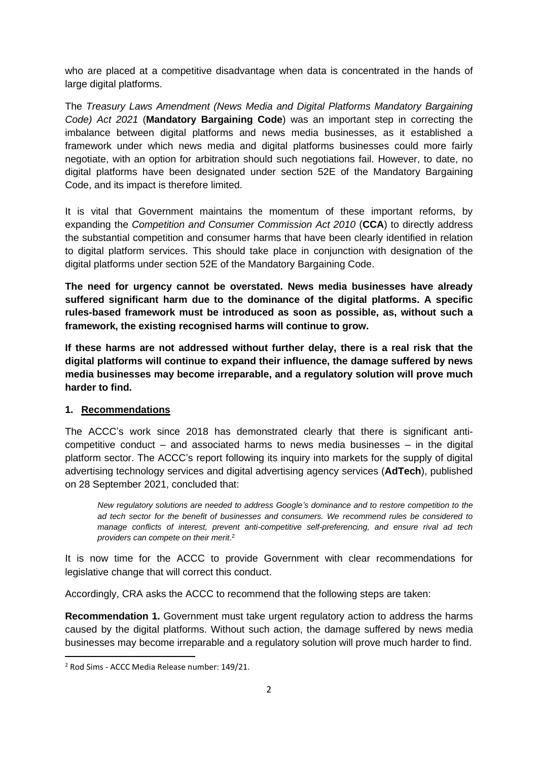who are placed at a competitive disadvantage when data is concentrated in the hands of large digital platforms.

The *Treasury Laws Amendment (News Media and Digital Platforms Mandatory Bargaining Code) Act 2021* (**Mandatory Bargaining Code**) was an important step in correcting the imbalance between digital platforms and news media businesses, as it established a framework under which news media and digital platforms businesses could more fairly negotiate, with an option for arbitration should such negotiations fail. However, to date, no digital platforms have been designated under section 52E of the Mandatory Bargaining Code, and its impact is therefore limited.

It is vital that Government maintains the momentum of these important reforms, by expanding the *Competition and Consumer Commission Act 2010* (**CCA**) to directly address the substantial competition and consumer harms that have been clearly identified in relation to digital platform services. This should take place in conjunction with designation of the digital platforms under section 52E of the Mandatory Bargaining Code.

**The need for urgency cannot be overstated. News media businesses have already suffered significant harm due to the dominance of the digital platforms. A specific rules-based framework must be introduced as soon as possible, as, without such a framework, the existing recognised harms will continue to grow.**

**If these harms are not addressed without further delay, there is a real risk that the digital platforms will continue to expand their influence, the damage suffered by news media businesses may become irreparable, and a regulatory solution will prove much harder to find.**

### **1. Recommendations**

The ACCC's work since 2018 has demonstrated clearly that there is significant anticompetitive conduct – and associated harms to news media businesses  $-$  in the digital platform sector. The ACCC's report following its inquiry into markets for the supply of digital advertising technology services and digital advertising agency services (**AdTech**), published on 28 September 2021, concluded that:

*New regulatory solutions are needed to address Google's dominance and to restore competition to the ad tech sector for the benefit of businesses and consumers. We recommend rules be considered to manage conflicts of interest, prevent anti-competitive self-preferencing, and ensure rival ad tech providers can compete on their merit*. 2

It is now time for the ACCC to provide Government with clear recommendations for legislative change that will correct this conduct.

Accordingly, CRA asks the ACCC to recommend that the following steps are taken:

**Recommendation 1.** Government must take urgent regulatory action to address the harms caused by the digital platforms. Without such action, the damage suffered by news media businesses may become irreparable and a regulatory solution will prove much harder to find.

<sup>2</sup> Rod Sims - ACCC Media Release number: 149/21.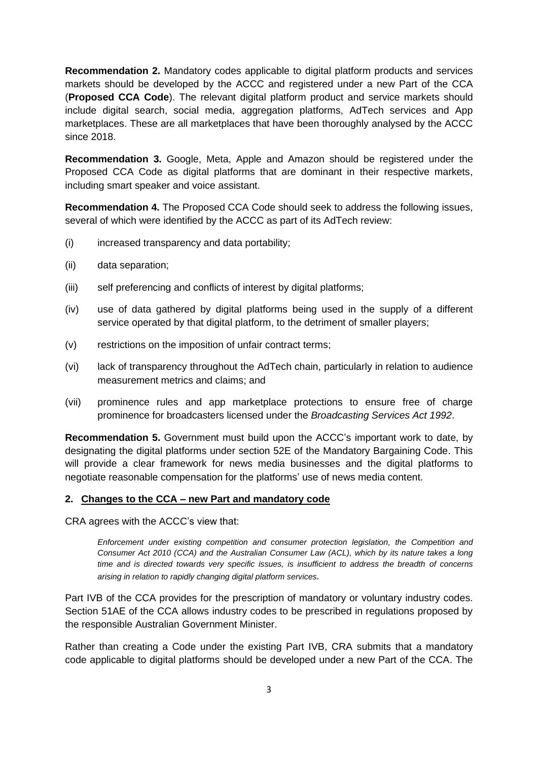**Recommendation 2.** Mandatory codes applicable to digital platform products and services markets should be developed by the ACCC and registered under a new Part of the CCA (**Proposed CCA Code**). The relevant digital platform product and service markets should include digital search, social media, aggregation platforms, AdTech services and App marketplaces. These are all marketplaces that have been thoroughly analysed by the ACCC since 2018.

**Recommendation 3.** Google, Meta, Apple and Amazon should be registered under the Proposed CCA Code as digital platforms that are dominant in their respective markets, including smart speaker and voice assistant.

**Recommendation 4.** The Proposed CCA Code should seek to address the following issues, several of which were identified by the ACCC as part of its AdTech review:

- (i) increased transparency and data portability;
- (ii) data separation;
- (iii) self preferencing and conflicts of interest by digital platforms;
- (iv) use of data gathered by digital platforms being used in the supply of a different service operated by that digital platform, to the detriment of smaller players;
- (v) restrictions on the imposition of unfair contract terms;
- (vi) lack of transparency throughout the AdTech chain, particularly in relation to audience measurement metrics and claims; and
- (vii) prominence rules and app marketplace protections to ensure free of charge prominence for broadcasters licensed under the *Broadcasting Services Act 1992*.

**Recommendation 5.** Government must build upon the ACCC's important work to date, by designating the digital platforms under section 52E of the Mandatory Bargaining Code. This will provide a clear framework for news media businesses and the digital platforms to negotiate reasonable compensation for the platforms' use of news media content.

#### **2. Changes to the CCA – new Part and mandatory code**

CRA agrees with the ACCC's view that:

*Enforcement under existing competition and consumer protection legislation, the Competition and Consumer Act 2010 (CCA) and the Australian Consumer Law (ACL), which by its nature takes a long time and is directed towards very specific issues, is insufficient to address the breadth of concerns arising in relation to rapidly changing digital platform services.*

Part IVB of the CCA provides for the prescription of mandatory or voluntary industry codes. Section 51AE of the CCA allows industry codes to be prescribed in regulations proposed by the responsible Australian Government Minister.

Rather than creating a Code under the existing Part IVB, CRA submits that a mandatory code applicable to digital platforms should be developed under a new Part of the CCA. The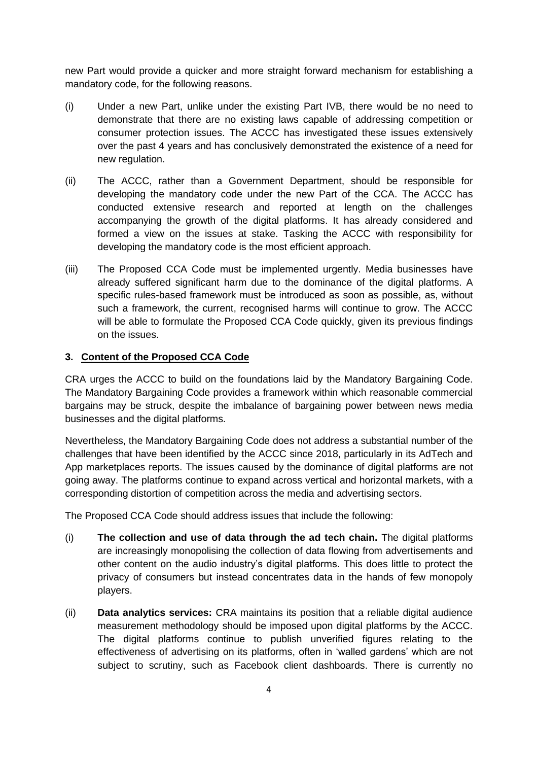new Part would provide a quicker and more straight forward mechanism for establishing a mandatory code, for the following reasons.

- (i) Under a new Part, unlike under the existing Part IVB, there would be no need to demonstrate that there are no existing laws capable of addressing competition or consumer protection issues. The ACCC has investigated these issues extensively over the past 4 years and has conclusively demonstrated the existence of a need for new regulation.
- (ii) The ACCC, rather than a Government Department, should be responsible for developing the mandatory code under the new Part of the CCA. The ACCC has conducted extensive research and reported at length on the challenges accompanying the growth of the digital platforms. It has already considered and formed a view on the issues at stake. Tasking the ACCC with responsibility for developing the mandatory code is the most efficient approach.
- (iii) The Proposed CCA Code must be implemented urgently. Media businesses have already suffered significant harm due to the dominance of the digital platforms. A specific rules-based framework must be introduced as soon as possible, as, without such a framework, the current, recognised harms will continue to grow. The ACCC will be able to formulate the Proposed CCA Code quickly, given its previous findings on the issues.

### **3. Content of the Proposed CCA Code**

CRA urges the ACCC to build on the foundations laid by the Mandatory Bargaining Code. The Mandatory Bargaining Code provides a framework within which reasonable commercial bargains may be struck, despite the imbalance of bargaining power between news media businesses and the digital platforms.

Nevertheless, the Mandatory Bargaining Code does not address a substantial number of the challenges that have been identified by the ACCC since 2018, particularly in its AdTech and App marketplaces reports. The issues caused by the dominance of digital platforms are not going away. The platforms continue to expand across vertical and horizontal markets, with a corresponding distortion of competition across the media and advertising sectors.

The Proposed CCA Code should address issues that include the following:

- (i) **The collection and use of data through the ad tech chain.** The digital platforms are increasingly monopolising the collection of data flowing from advertisements and other content on the audio industry's digital platforms. This does little to protect the privacy of consumers but instead concentrates data in the hands of few monopoly players.
- (ii) **Data analytics services:** CRA maintains its position that a reliable digital audience measurement methodology should be imposed upon digital platforms by the ACCC. The digital platforms continue to publish unverified figures relating to the effectiveness of advertising on its platforms, often in 'walled gardens' which are not subject to scrutiny, such as Facebook client dashboards. There is currently no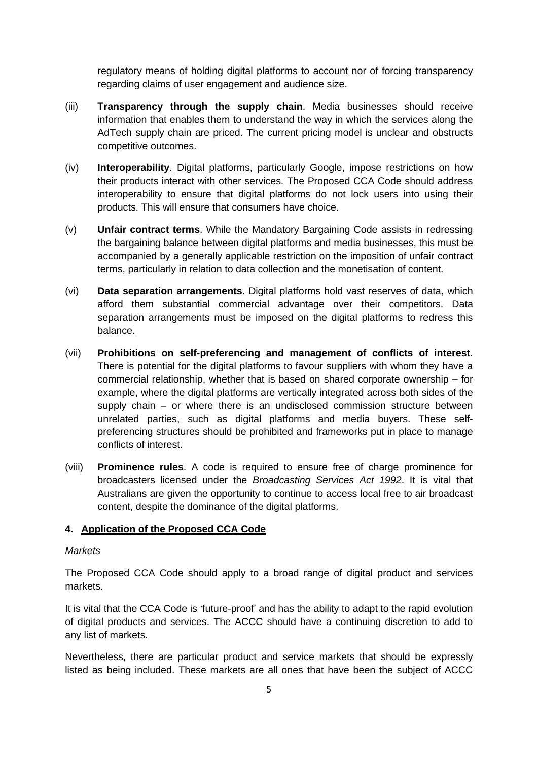regulatory means of holding digital platforms to account nor of forcing transparency regarding claims of user engagement and audience size.

- (iii) **Transparency through the supply chain**. Media businesses should receive information that enables them to understand the way in which the services along the AdTech supply chain are priced. The current pricing model is unclear and obstructs competitive outcomes.
- (iv) **Interoperability**. Digital platforms, particularly Google, impose restrictions on how their products interact with other services. The Proposed CCA Code should address interoperability to ensure that digital platforms do not lock users into using their products. This will ensure that consumers have choice.
- (v) **Unfair contract terms**. While the Mandatory Bargaining Code assists in redressing the bargaining balance between digital platforms and media businesses, this must be accompanied by a generally applicable restriction on the imposition of unfair contract terms, particularly in relation to data collection and the monetisation of content.
- (vi) **Data separation arrangements**. Digital platforms hold vast reserves of data, which afford them substantial commercial advantage over their competitors. Data separation arrangements must be imposed on the digital platforms to redress this balance.
- (vii) **Prohibitions on self-preferencing and management of conflicts of interest**. There is potential for the digital platforms to favour suppliers with whom they have a commercial relationship, whether that is based on shared corporate ownership – for example, where the digital platforms are vertically integrated across both sides of the supply chain – or where there is an undisclosed commission structure between unrelated parties, such as digital platforms and media buyers. These selfpreferencing structures should be prohibited and frameworks put in place to manage conflicts of interest.
- (viii) **Prominence rules**. A code is required to ensure free of charge prominence for broadcasters licensed under the *Broadcasting Services Act 1992*. It is vital that Australians are given the opportunity to continue to access local free to air broadcast content, despite the dominance of the digital platforms.

### **4. Application of the Proposed CCA Code**

#### *Markets*

The Proposed CCA Code should apply to a broad range of digital product and services markets.

It is vital that the CCA Code is 'future-proof' and has the ability to adapt to the rapid evolution of digital products and services. The ACCC should have a continuing discretion to add to any list of markets.

Nevertheless, there are particular product and service markets that should be expressly listed as being included. These markets are all ones that have been the subject of ACCC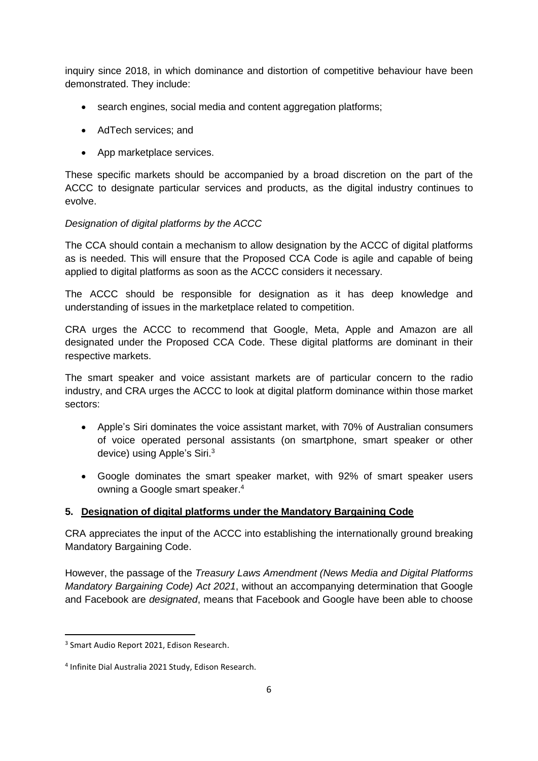inquiry since 2018, in which dominance and distortion of competitive behaviour have been demonstrated. They include:

- search engines, social media and content aggregation platforms;
- AdTech services; and
- App marketplace services.

These specific markets should be accompanied by a broad discretion on the part of the ACCC to designate particular services and products, as the digital industry continues to evolve.

### *Designation of digital platforms by the ACCC*

The CCA should contain a mechanism to allow designation by the ACCC of digital platforms as is needed. This will ensure that the Proposed CCA Code is agile and capable of being applied to digital platforms as soon as the ACCC considers it necessary.

The ACCC should be responsible for designation as it has deep knowledge and understanding of issues in the marketplace related to competition.

CRA urges the ACCC to recommend that Google, Meta, Apple and Amazon are all designated under the Proposed CCA Code. These digital platforms are dominant in their respective markets.

The smart speaker and voice assistant markets are of particular concern to the radio industry, and CRA urges the ACCC to look at digital platform dominance within those market sectors:

- Apple's Siri dominates the voice assistant market, with 70% of Australian consumers of voice operated personal assistants (on smartphone, smart speaker or other device) using Apple's Siri.<sup>3</sup>
- Google dominates the smart speaker market, with 92% of smart speaker users owning a Google smart speaker.<sup>4</sup>

# **5. Designation of digital platforms under the Mandatory Bargaining Code**

CRA appreciates the input of the ACCC into establishing the internationally ground breaking Mandatory Bargaining Code.

However, the passage of the *Treasury Laws Amendment (News Media and Digital Platforms Mandatory Bargaining Code) Act 2021*, without an accompanying determination that Google and Facebook are *designated*, means that Facebook and Google have been able to choose

<sup>&</sup>lt;sup>3</sup> Smart Audio Report 2021, Edison Research.

<sup>4</sup> Infinite Dial Australia 2021 Study, Edison Research.